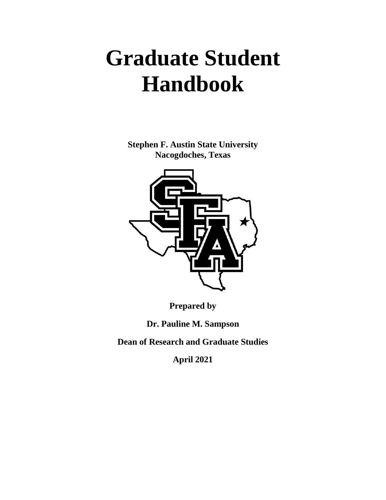# **Graduate Student Handbook**

**Stephen F. Austin State University Nacogdoches, Texas**



**Prepared by**

**Dr. Pauline M. Sampson**

**Dean of Research and Graduate Studies** 

**April 2021**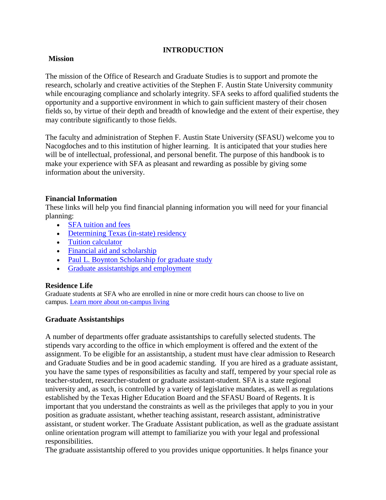# **INTRODUCTION**

## **Mission**

The mission of the Office of Research and Graduate Studies is to support and promote the research, scholarly and creative activities of the Stephen F. Austin State University community while encouraging compliance and scholarly integrity. SFA seeks to afford qualified students the opportunity and a supportive environment in which to gain sufficient mastery of their chosen fields so, by virtue of their depth and breadth of knowledge and the extent of their expertise, they may contribute significantly to those fields.

The faculty and administration of Stephen F. Austin State University (SFASU) welcome you to Nacogdoches and to this institution of higher learning. It is anticipated that your studies here will be of intellectual, professional, and personal benefit. The purpose of this handbook is to make your experience with SFA as pleasant and rewarding as possible by giving some information about the university.

## **Financial Information**

These links will help you find financial planning information you will need for your financial planning:

- **SFA** tuition and fees
- [Determining Texas \(in-state\) residency](http://www.sfasu.edu/admissions/residency.asp)
- [Tuition calculator](http://www.sfasu.edu/controller/businessoffice/students/tuition_calc.asp)
- [Financial aid and scholarship](http://www.sfasu.edu/admissions/scholarships/index.asp)
- [Paul L. Boynton Scholarship for graduate study](https://sfasu.academicworks.com/opportunities/6713)
- [Graduate assistantships and employment](http://www.sfasu.edu/academics/orgs/graduate-studies-admissions/assistantships-employment)

## **Residence Life**

Graduate students at SFA who are enrolled in nine or more credit hours can choose to live on campus. [Learn more about on-campus living](http://www.sfasu.edu/life-at-sfa/housing-dining/housing/residence-halls)

## **Graduate Assistantships**

A number of departments offer graduate assistantships to carefully selected students. The stipends vary according to the office in which employment is offered and the extent of the assignment. To be eligible for an assistantship, a student must have clear admission to Research and Graduate Studies and be in good academic standing. If you are hired as a graduate assistant, you have the same types of responsibilities as faculty and staff, tempered by your special role as teacher-student, researcher-student or graduate assistant-student. SFA is a state regional university and, as such, is controlled by a variety of legislative mandates, as well as regulations established by the Texas Higher Education Board and the SFASU Board of Regents. It is important that you understand the constraints as well as the privileges that apply to you in your position as graduate assistant, whether teaching assistant, research assistant, administrative assistant, or student worker. The Graduate Assistant publication, as well as the graduate assistant online orientation program will attempt to familiarize you with your legal and professional responsibilities.

The graduate assistantship offered to you provides unique opportunities. It helps finance your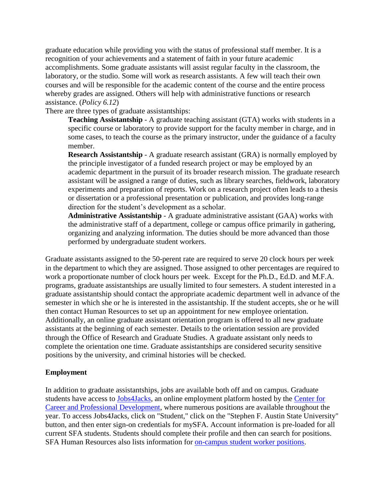graduate education while providing you with the status of professional staff member. It is a recognition of your achievements and a statement of faith in your future academic accomplishments. Some graduate assistants will assist regular faculty in the classroom, the laboratory, or the studio. Some will work as research assistants. A few will teach their own courses and will be responsible for the academic content of the course and the entire process whereby grades are assigned. Others will help with administrative functions or research assistance. (*Policy 6.12*)

There are three types of graduate assistantships:

**Teaching Assistantship** - A graduate teaching assistant (GTA) works with students in a specific course or laboratory to provide support for the faculty member in charge, and in some cases, to teach the course as the primary instructor, under the guidance of a faculty member.

**Research Assistantship** - A graduate research assistant (GRA) is normally employed by the principle investigator of a funded research project or may be employed by an academic department in the pursuit of its broader research mission. The graduate research assistant will be assigned a range of duties, such as library searches, fieldwork, laboratory experiments and preparation of reports. Work on a research project often leads to a thesis or dissertation or a professional presentation or publication, and provides long-range direction for the student's development as a scholar.

**Administrative Assistantship** - A graduate administrative assistant (GAA) works with the administrative staff of a department, college or campus office primarily in gathering, organizing and analyzing information. The duties should be more advanced than those performed by undergraduate student workers.

Graduate assistants assigned to the 50-perent rate are required to serve 20 clock hours per week in the department to which they are assigned. Those assigned to other percentages are required to work a proportionate number of clock hours per week. Except for the Ph.D., Ed.D. and M.F.A. programs, graduate assistantships are usually limited to four semesters. A student interested in a graduate assistantship should contact the appropriate academic department well in advance of the semester in which she or he is interested in the assistantship. If the student accepts, she or he will then contact Human Resources to set up an appointment for new employee orientation. Additionally, an online graduate assistant orientation program is offered to all new graduate assistants at the beginning of each semester. Details to the orientation session are provided through the Office of Research and Graduate Studies. A graduate assistant only needs to complete the orientation one time. Graduate assistantships are considered security sensitive positions by the university, and criminal histories will be checked.

## **Employment**

In addition to graduate assistantships, jobs are available both off and on campus. Graduate students have access to [Jobs4Jacks,](http://www.sfasu.edu/ccpd/400.asp) an online employment platform hosted by the [Center for](http://www.sfasu.edu/ccpd/)  [Career and Professional Development,](http://www.sfasu.edu/ccpd/) where numerous positions are available throughout the year. To access Jobs4Jacks, click on "Student," click on the "Stephen F. Austin State University" button, and then enter sign-on credentials for mySFA. Account information is pre-loaded for all current SFA students. Students should complete their profile and then can search for positions. SFA Human Resources also lists information for [on-campus student worker positions.](http://www.sfasu.edu/hr/103.asp)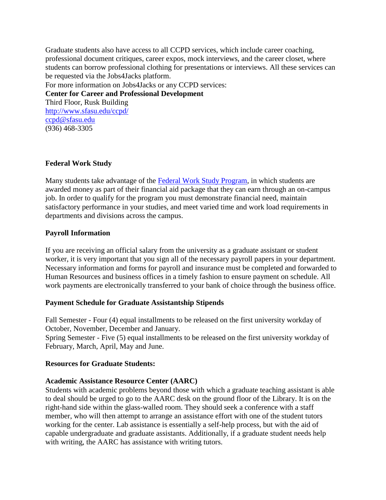Graduate students also have access to all CCPD services, which include career coaching, professional document critiques, career expos, mock interviews, and the career closet, where students can borrow professional clothing for presentations or interviews. All these services can be requested via the Jobs4Jacks platform. For more information on Jobs4Jacks or any CCPD services: **Center for Career and Professional Development** Third Floor, Rusk Building <http://www.sfasu.edu/ccpd/> [ccpd@sfasu.edu](mailto:ccpd@sfasu.edu) (936) 468-3305

#### **Federal Work Study**

Many students take advantage of the [Federal Work Study Program,](http://www.sfasu.edu/admissions-and-aid/financial-aid/types-of-aid/work-study) in which students are awarded money as part of their financial aid package that they can earn through an on-campus job. In order to qualify for the program you must demonstrate financial need, maintain satisfactory performance in your studies, and meet varied time and work load requirements in departments and divisions across the campus.

#### **Payroll Information**

If you are receiving an official salary from the university as a graduate assistant or student worker, it is very important that you sign all of the necessary payroll papers in your department. Necessary information and forms for payroll and insurance must be completed and forwarded to Human Resources and business offices in a timely fashion to ensure payment on schedule. All work payments are electronically transferred to your bank of choice through the business office.

#### **Payment Schedule for Graduate Assistantship Stipends**

Fall Semester - Four (4) equal installments to be released on the first university workday of October, November, December and January.

Spring Semester - Five (5) equal installments to be released on the first university workday of February, March, April, May and June.

#### **Resources for Graduate Students:**

#### **Academic Assistance Resource Center (AARC)**

Students with academic problems beyond those with which a graduate teaching assistant is able to deal should be urged to go to the AARC desk on the ground floor of the Library. It is on the right-hand side within the glass-walled room. They should seek a conference with a staff member, who will then attempt to arrange an assistance effort with one of the student tutors working for the center. Lab assistance is essentially a self-help process, but with the aid of capable undergraduate and graduate assistants. Additionally, if a graduate student needs help with writing, the AARC has assistance with writing tutors.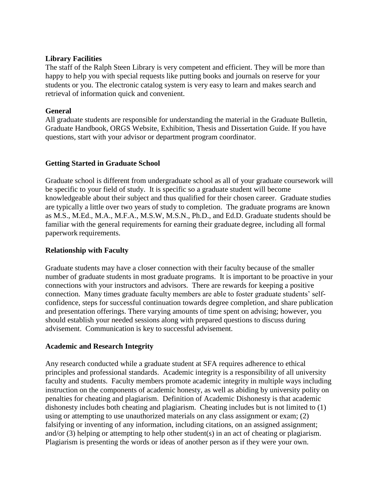## **Library Facilities**

The staff of the Ralph Steen Library is very competent and efficient. They will be more than happy to help you with special requests like putting books and journals on reserve for your students or you. The electronic catalog system is very easy to learn and makes search and retrieval of information quick and convenient.

# **General**

All graduate students are responsible for understanding the material in the Graduate Bulletin, Graduate Handbook, ORGS Website, Exhibition, Thesis and Dissertation Guide. If you have questions, start with your advisor or department program coordinator.

# **Getting Started in Graduate School**

Graduate school is different from undergraduate school as all of your graduate coursework will be specific to your field of study. It is specific so a graduate student will become knowledgeable about their subject and thus qualified for their chosen career. Graduate studies are typically a little over two years of study to completion. The graduate programs are known as M.S., M.Ed., M.A., M.F.A., M.S.W, M.S.N., Ph.D., and Ed.D. Graduate students should be familiar with the general requirements for earning their graduate degree, including all formal paperwork requirements.

# **Relationship with Faculty**

Graduate students may have a closer connection with their faculty because of the smaller number of graduate students in most graduate programs. It is important to be proactive in your connections with your instructors and advisors. There are rewards for keeping a positive connection. Many times graduate faculty members are able to foster graduate students' selfconfidence, steps for successful continuation towards degree completion, and share publication and presentation offerings. There varying amounts of time spent on advising; however, you should establish your needed sessions along with prepared questions to discuss during advisement. Communication is key to successful advisement.

# **Academic and Research Integrity**

Any research conducted while a graduate student at SFA requires adherence to ethical principles and professional standards. Academic integrity is a responsibility of all university faculty and students. Faculty members promote academic integrity in multiple ways including instruction on the components of academic honesty, as well as abiding by university polity on penalties for cheating and plagiarism. Definition of Academic Dishonesty is that academic dishonesty includes both cheating and plagiarism. Cheating includes but is not limited to (1) using or attempting to use unauthorized materials on any class assignment or exam; (2) falsifying or inventing of any information, including citations, on an assigned assignment; and/or (3) helping or attempting to help other student(s) in an act of cheating or plagiarism. Plagiarism is presenting the words or ideas of another person as if they were your own.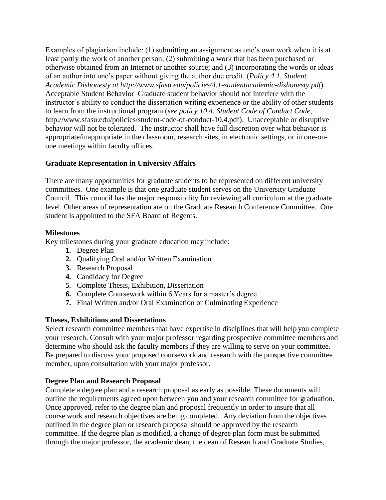Examples of plagiarism include: (1) submitting an assignment as one's own work when it is at least partly the work of another person; (2) submitting a work that has been purchased or otherwise obtained from an Internet or another source; and (3) incorporating the words or ideas of an author into one's paper without giving the author due credit. (*Policy 4.1, Student Academic Dishonesty at http://www.sfasu.edu/policies/4.1-studentacademic-dishonesty.pdf*) Acceptable Student Behavior Graduate student behavior should not interfere with the instructor's ability to conduct the dissertation writing experience or the ability of other students to learn from the instructional program (*see policy 10.4, Student Code of Conduct Code*, http://www.sfasu.edu/policies/student-code-of-conduct-10.4.pdf). Unacceptable or disruptive behavior will not be tolerated. The instructor shall have full discretion over what behavior is appropriate/inappropriate in the classroom, research sites, in electronic settings, or in one-onone meetings within faculty offices.

# **Graduate Representation in University Affairs**

There are many opportunities for graduate students to be represented on different university committees. One example is that one graduate student serves on the University Graduate Council. This council has the major responsibility for reviewing all curriculum at the graduate level. Other areas of representation are on the Graduate Research Conference Committee. One student is appointed to the SFA Board of Regents.

# **Milestones**

Key milestones during your graduate education may include:

- **1.** Degree Plan
- **2.** Qualifying Oral and/or Written Examination
- **3.** Research Proposal
- **4.** Candidacy for Degree
- **5.** Complete Thesis, Exhibition, Dissertation
- **6.** Complete Coursework within 6 Years for a master's degree
- **7.** Final Written and/or Oral Examination or Culminating Experience

# **Theses, Exhibitions and Dissertations**

Select research committee members that have expertise in disciplines that will help you complete your research. Consult with your major professor regarding prospective committee members and determine who should ask the faculty members if they are willing to serve on your committee. Be prepared to discuss your proposed coursework and research with the prospective committee member, upon consultation with your major professor.

# **Degree Plan and Research Proposal**

Complete a degree plan and a research proposal as early as possible. These documents will outline the requirements agreed upon between you and your research committee for graduation. Once approved, refer to the degree plan and proposal frequently in order to insure that all course work and research objectives are being completed. Any deviation from the objectives outlined in the degree plan or research proposal should be approved by the research committee. If the degree plan is modified, a change of degree plan form must be submitted through the major professor, the academic dean, the dean of Research and Graduate Studies,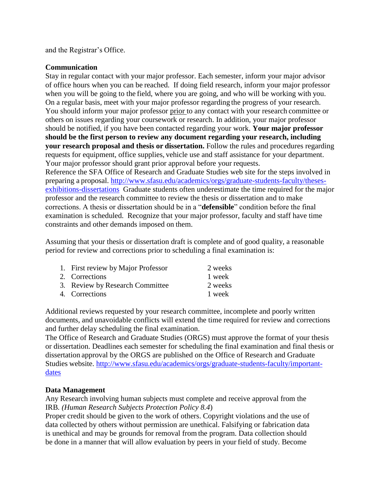and the Registrar's Office.

## **Communication**

Stay in regular contact with your major professor. Each semester, inform your major advisor of office hours when you can be reached. If doing field research, inform your major professor when you will be going to the field, where you are going, and who will be working with you. On a regular basis, meet with your major professor regarding the progress of your research. You should inform your major professor prior to any contact with your research committee or others on issues regarding your coursework or research. In addition, your major professor should be notified, if you have been contacted regarding your work. **Your major professor should be the first person to review any document regarding your research, including your research proposal and thesis or dissertation.** Follow the rules and procedures regarding requests for equipment, office supplies, vehicle use and staff assistance for your department. Your major professor should grant prior approval before your requests.

Reference the SFA Office of Research and Graduate Studies web site for the steps involved in preparing a proposal. [http://www.sfasu.edu/academics/orgs/graduate-students-faculty/theses](http://www.sfasu.edu/academics/orgs/graduate-students-faculty/theses-exhibitions-dissertations)[exhibitions-dissertations](http://www.sfasu.edu/academics/orgs/graduate-students-faculty/theses-exhibitions-dissertations) Graduate students often underestimate the time required for the major professor and the research committee to review the thesis or dissertation and to make corrections. A thesis or dissertation should be in a "**defensible**" condition before the final examination is scheduled. Recognize that your major professor, faculty and staff have time constraints and other demands imposed on them.

Assuming that your thesis or dissertation draft is complete and of good quality, a reasonable period for review and corrections prior to scheduling a final examination is:

| 1. First review by Major Professor | 2 weeks |
|------------------------------------|---------|
| 2. Corrections                     | 1 week  |
| 3. Review by Research Committee    | 2 weeks |
| 4. Corrections                     | 1 week  |

Additional reviews requested by your research committee, incomplete and poorly written documents, and unavoidable conflicts will extend the time required for review and corrections and further delay scheduling the final examination.

The Office of Research and Graduate Studies (ORGS) must approve the format of your thesis or dissertation. Deadlines each semester for scheduling the final examination and final thesis or dissertation approval by the ORGS are published on the Office of Research and Graduate Studies website. [http://www.sfasu.edu/academics/orgs/graduate-students-faculty/important](http://www.sfasu.edu/academics/orgs/graduate-students-faculty/important-dates)[dates](http://www.sfasu.edu/academics/orgs/graduate-students-faculty/important-dates)

## **Data Management**

Any Research involving human subjects must complete and receive approval from the IRB*. (Human Research Subjects Protection Policy 8.4*)

Proper credit should be given to the work of others. Copyright violations and the use of data collected by others without permission are unethical. Falsifying or fabrication data is unethical and may be grounds for removal from the program. Data collection should be done in a manner that will allow evaluation by peers in your field of study. Become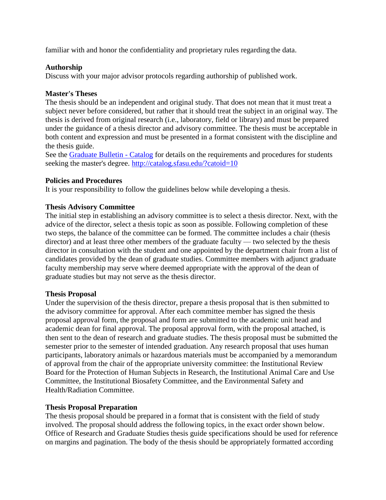familiar with and honor the confidentiality and proprietary rules regarding the data.

# **Authorship**

Discuss with your major advisor protocols regarding authorship of published work.

# **Master's Theses**

The thesis should be an independent and original study. That does not mean that it must treat a subject never before considered, but rather that it should treat the subject in an original way. The thesis is derived from original research (i.e., laboratory, field or library) and must be prepared under the guidance of a thesis director and advisory committee. The thesis must be acceptable in both content and expression and must be presented in a format consistent with the discipline and the thesis guide.

See the [Graduate Bulletin -](http://www.sfasu.edu/academics/orgs/about/forms-documents/graduate-bulletin) Catalog for details on the requirements and procedures for students seeking the master's degree.<http://catalog.sfasu.edu/?catoid=10>

# **Policies and Procedures**

It is your responsibility to follow the guidelines below while developing a thesis.

# **Thesis Advisory Committee**

The initial step in establishing an advisory committee is to select a thesis director. Next, with the advice of the director, select a thesis topic as soon as possible. Following completion of these two steps, the balance of the committee can be formed. The committee includes a chair (thesis director) and at least three other members of the graduate faculty — two selected by the thesis director in consultation with the student and one appointed by the department chair from a list of candidates provided by the dean of graduate studies. Committee members with adjunct graduate faculty membership may serve where deemed appropriate with the approval of the dean of graduate studies but may not serve as the thesis director.

## **Thesis Proposal**

Under the supervision of the thesis director, prepare a thesis proposal that is then submitted to the advisory committee for approval. After each committee member has signed the thesis proposal approval form, the proposal and form are submitted to the academic unit head and academic dean for final approval. The proposal approval form, with the proposal attached, is then sent to the dean of research and graduate studies. The thesis proposal must be submitted the semester prior to the semester of intended graduation. Any research proposal that uses human participants, laboratory animals or hazardous materials must be accompanied by a memorandum of approval from the chair of the appropriate university committee: the Institutional Review Board for the Protection of Human Subjects in Research, the Institutional Animal Care and Use Committee, the Institutional Biosafety Committee, and the Environmental Safety and Health/Radiation Committee.

## **Thesis Proposal Preparation**

The thesis proposal should be prepared in a format that is consistent with the field of study involved. The proposal should address the following topics, in the exact order shown below. Office of Research and Graduate Studies thesis guide specifications should be used for reference on margins and pagination. The body of the thesis should be appropriately formatted according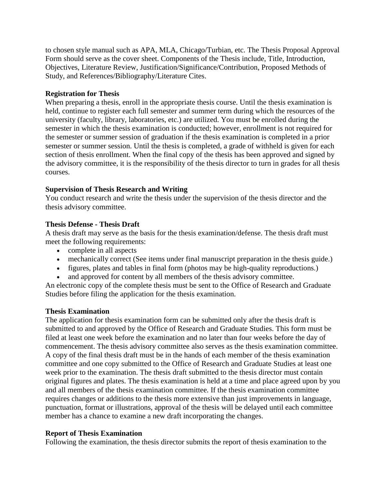to chosen style manual such as APA, MLA, Chicago/Turbian, etc. The Thesis Proposal Approval Form should serve as the cover sheet. Components of the Thesis include, Title, Introduction, Objectives, Literature Review, Justification/Significance/Contribution, Proposed Methods of Study, and References/Bibliography/Literature Cites.

# **Registration for Thesis**

When preparing a thesis, enroll in the appropriate thesis course. Until the thesis examination is held, continue to register each full semester and summer term during which the resources of the university (faculty, library, laboratories, etc.) are utilized. You must be enrolled during the semester in which the thesis examination is conducted; however, enrollment is not required for the semester or summer session of graduation if the thesis examination is completed in a prior semester or summer session. Until the thesis is completed, a grade of withheld is given for each section of thesis enrollment. When the final copy of the thesis has been approved and signed by the advisory committee, it is the responsibility of the thesis director to turn in grades for all thesis courses.

# **Supervision of Thesis Research and Writing**

You conduct research and write the thesis under the supervision of the thesis director and the thesis advisory committee.

# **Thesis Defense - Thesis Draft**

A thesis draft may serve as the basis for the thesis examination/defense. The thesis draft must meet the following requirements:

- complete in all aspects
- mechanically correct (See items under final manuscript preparation in the thesis guide.)
- figures, plates and tables in final form (photos may be high-quality reproductions.)
- and approved for content by all members of the thesis advisory committee.

An electronic copy of the complete thesis must be sent to the Office of Research and Graduate Studies before filing the application for the thesis examination.

## **Thesis Examination**

The application for thesis examination form can be submitted only after the thesis draft is submitted to and approved by the Office of Research and Graduate Studies. This form must be filed at least one week before the examination and no later than four weeks before the day of commencement. The thesis advisory committee also serves as the thesis examination committee. A copy of the final thesis draft must be in the hands of each member of the thesis examination committee and one copy submitted to the Office of Research and Graduate Studies at least one week prior to the examination. The thesis draft submitted to the thesis director must contain original figures and plates. The thesis examination is held at a time and place agreed upon by you and all members of the thesis examination committee. If the thesis examination committee requires changes or additions to the thesis more extensive than just improvements in language, punctuation, format or illustrations, approval of the thesis will be delayed until each committee member has a chance to examine a new draft incorporating the changes.

## **Report of Thesis Examination**

Following the examination, the thesis director submits the report of thesis examination to the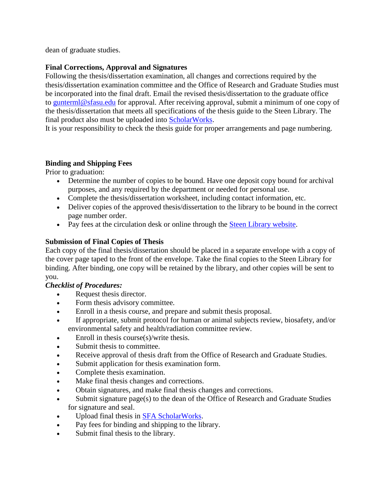dean of graduate studies.

# **Final Corrections, Approval and Signatures**

Following the thesis/dissertation examination, all changes and corrections required by the thesis/dissertation examination committee and the Office of Research and Graduate Studies must be incorporated into the final draft. Email the revised thesis/dissertation to the graduate office to [gunterml@sfasu.edu](mailto:gunterml@sfasu.edu) for approval. After receiving approval, submit a minimum of one copy of the thesis/dissertation that meets all specifications of the thesis guide to the Steen Library. The final product also must be uploaded into [ScholarWorks.](http://scholarworks.sfasu.edu/)

It is your responsibility to check the thesis guide for proper arrangements and page numbering.

# **Binding and Shipping Fees**

Prior to graduation:

- Determine the number of copies to be bound. Have one deposit copy bound for archival purposes, and any required by the department or needed for personal use.
- Complete the thesis/dissertation worksheet, including contact information, etc.
- Deliver copies of the approved thesis/dissertation to the library to be bound in the correct page number order.
- Pay fees at the circulation desk or online through the **Steen Library website**.

# **Submission of Final Copies of Thesis**

Each copy of the final thesis/dissertation should be placed in a separate envelope with a copy of the cover page taped to the front of the envelope. Take the final copies to the Steen Library for binding. After binding, one copy will be retained by the library, and other copies will be sent to you.

# *Checklist of Procedures:*

- Request thesis director.
- Form thesis advisory committee.
- Enroll in a thesis course, and prepare and submit thesis proposal.
- If appropriate, submit protocol for human or animal subjects review, biosafety, and/or environmental safety and health/radiation committee review.
- Enroll in thesis course(s)/write thesis.
- Submit thesis to committee.
- Receive approval of thesis draft from the Office of Research and Graduate Studies.
- Submit application for thesis examination form.
- Complete thesis examination.
- Make final thesis changes and corrections.
- Obtain signatures, and make final thesis changes and corrections.
- Submit signature page $(s)$  to the dean of the Office of Research and Graduate Studies for signature and seal.
- Upload final thesis in **SFA ScholarWorks**.
- Pay fees for binding and shipping to the library.
- Submit final thesis to the library.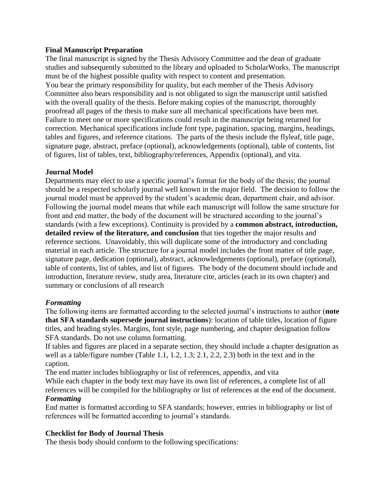# **Final Manuscript Preparation**

The final manuscript is signed by the Thesis Advisory Committee and the dean of graduate studies and subsequently submitted to the library and uploaded to ScholarWorks. The manuscript must be of the highest possible quality with respect to content and presentation. You bear the primary responsibility for quality, but each member of the Thesis Advisory Committee also bears responsibility and is not obligated to sign the manuscript until satisfied with the overall quality of the thesis. Before making copies of the manuscript, thoroughly proofread all pages of the thesis to make sure all mechanical specifications have been met. Failure to meet one or more specifications could result in the manuscript being returned for correction. Mechanical specifications include font type, pagination, spacing, margins, headings, tables and figures, and reference citations. The parts of the thesis include the flyleaf, title page, signature page, abstract, preface (optional), acknowledgements (optional), table of contents, list of figures, list of tables, text, bibliography/references, Appendix (optional), and vita.

# **Journal Model**

Departments may elect to use a specific journal's format for the body of the thesis; the journal should be a respected scholarly journal well known in the major field. The decision to follow the journal model must be approved by the student's academic dean, department chair, and advisor. Following the journal model means that while each manuscript will follow the same structure for front and end matter, the body of the document will be structured according to the journal's standards (with a few exceptions). Continuity is provided by a **common abstract, introduction, detailed review of the literature, and conclusion** that ties together the major results and reference sections. Unavoidably, this will duplicate some of the introductory and concluding material in each article. The structure for a journal model includes the front matter of title page, signature page, dedication (optional), abstract, acknowledgements (optional), preface (optional), table of contents, list of tables, and list of figures. The body of the document should include and introduction, literature review, study area, literature cite, articles (each in its own chapter) and summary or conclusions of all research

## *Formatting*

The following items are formatted according to the selected journal's instructions to author (**note that SFA standards supersede journal instructions**): location of table titles, location of figure titles, and heading styles. Margins, font style, page numbering, and chapter designation follow SFA standards. Do not use column formatting.

If tables and figures are placed in a separate section, they should include a chapter designation as well as a table/figure number (Table 1.1, 1.2, 1.3; 2.1, 2.2, 2.3) both in the text and in the caption.

The end matter includes bibliography or list of references, appendix, and vita While each chapter in the body text may have its own list of references, a complete list of all references will be compiled for the bibliography or list of references at the end of the document. *Formatting*

End matter is formatted according to SFA standards; however, entries in bibliography or list of references will be formatted according to journal's standards.

# **Checklist for Body of Journal Thesis**

The thesis body should conform to the following specifications: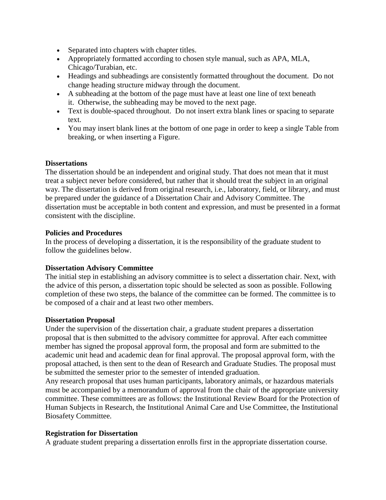- Separated into chapters with chapter titles.
- Appropriately formatted according to chosen style manual, such as APA, MLA, Chicago/Turabian, etc.
- Headings and subheadings are consistently formatted throughout the document. Do not change heading structure midway through the document.
- A subheading at the bottom of the page must have at least one line of text beneath it. Otherwise, the subheading may be moved to the next page.
- Text is double-spaced throughout. Do not insert extra blank lines or spacing to separate text.
- You may insert blank lines at the bottom of one page in order to keep a single Table from breaking, or when inserting a Figure.

# **Dissertations**

The dissertation should be an independent and original study. That does not mean that it must treat a subject never before considered, but rather that it should treat the subject in an original way. The dissertation is derived from original research, i.e., laboratory, field, or library, and must be prepared under the guidance of a Dissertation Chair and Advisory Committee. The dissertation must be acceptable in both content and expression, and must be presented in a format consistent with the discipline.

## **Policies and Procedures**

In the process of developing a dissertation, it is the responsibility of the graduate student to follow the guidelines below.

## **Dissertation Advisory Committee**

The initial step in establishing an advisory committee is to select a dissertation chair. Next, with the advice of this person, a dissertation topic should be selected as soon as possible. Following completion of these two steps, the balance of the committee can be formed. The committee is to be composed of a chair and at least two other members.

## **Dissertation Proposal**

Under the supervision of the dissertation chair, a graduate student prepares a dissertation proposal that is then submitted to the advisory committee for approval. After each committee member has signed the proposal approval form, the proposal and form are submitted to the academic unit head and academic dean for final approval. The proposal approval form, with the proposal attached, is then sent to the dean of Research and Graduate Studies. The proposal must be submitted the semester prior to the semester of intended graduation.

Any research proposal that uses human participants, laboratory animals, or hazardous materials must be accompanied by a memorandum of approval from the chair of the appropriate university committee. These committees are as follows: the Institutional Review Board for the Protection of Human Subjects in Research, the Institutional Animal Care and Use Committee, the Institutional Biosafety Committee.

## **Registration for Dissertation**

A graduate student preparing a dissertation enrolls first in the appropriate dissertation course.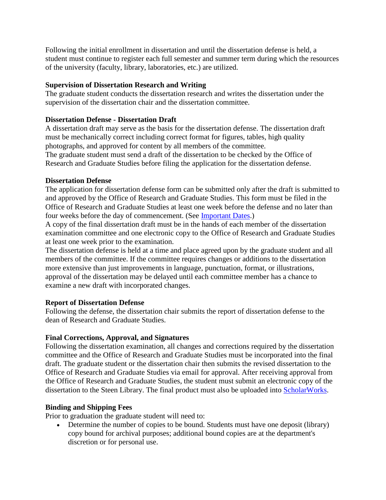Following the initial enrollment in dissertation and until the dissertation defense is held, a student must continue to register each full semester and summer term during which the resources of the university (faculty, library, laboratories, etc.) are utilized.

# **Supervision of Dissertation Research and Writing**

The graduate student conducts the dissertation research and writes the dissertation under the supervision of the dissertation chair and the dissertation committee.

# **Dissertation Defense - Dissertation Draft**

A dissertation draft may serve as the basis for the dissertation defense. The dissertation draft must be mechanically correct including correct format for figures, tables, high quality photographs, and approved for content by all members of the committee. The graduate student must send a draft of the dissertation to be checked by the Office of Research and Graduate Studies before filing the application for the dissertation defense.

## **Dissertation Defense**

The application for dissertation defense form can be submitted only after the draft is submitted to and approved by the Office of Research and Graduate Studies. This form must be filed in the Office of Research and Graduate Studies at least one week before the defense and no later than four weeks before the day of commencement. (See [Important Dates.](http://www.sfasu.edu/academics/orgs/graduate-students-faculty/important-dates))

A copy of the final dissertation draft must be in the hands of each member of the dissertation examination committee and one electronic copy to the Office of Research and Graduate Studies at least one week prior to the examination.

The dissertation defense is held at a time and place agreed upon by the graduate student and all members of the committee. If the committee requires changes or additions to the dissertation more extensive than just improvements in language, punctuation, format, or illustrations, approval of the dissertation may be delayed until each committee member has a chance to examine a new draft with incorporated changes.

## **Report of Dissertation Defense**

Following the defense, the dissertation chair submits the report of dissertation defense to the dean of Research and Graduate Studies.

# **Final Corrections, Approval, and Signatures**

Following the dissertation examination, all changes and corrections required by the dissertation committee and the Office of Research and Graduate Studies must be incorporated into the final draft. The graduate student or the dissertation chair then submits the revised dissertation to the Office of Research and Graduate Studies via email for approval. After receiving approval from the Office of Research and Graduate Studies, the student must submit an electronic copy of the dissertation to the Steen Library. The final product must also be uploaded into [ScholarWorks.](http://scholarworks.sfasu.edu/)

# **Binding and Shipping Fees**

Prior to graduation the graduate student will need to:

• Determine the number of copies to be bound. Students must have one deposit (library) copy bound for archival purposes; additional bound copies are at the department's discretion or for personal use.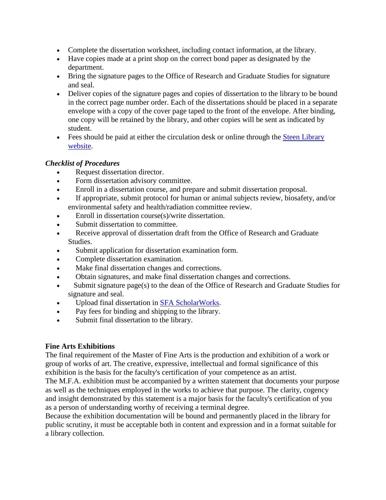- Complete the dissertation worksheet, including contact information, at the library.
- Have copies made at a print shop on the correct bond paper as designated by the department.
- Bring the signature pages to the Office of Research and Graduate Studies for signature and seal.
- Deliver copies of the signature pages and copies of dissertation to the library to be bound in the correct page number order. Each of the dissertations should be placed in a separate envelope with a copy of the cover page taped to the front of the envelope. After binding, one copy will be retained by the library, and other copies will be sent as indicated by student.
- Fees should be paid at either the circulation desk or online through the **Steen Library** [website.](https://library.sfasu.edu/)

# *Checklist of Procedures*

- Request dissertation director.
- Form dissertation advisory committee.
- Enroll in a dissertation course, and prepare and submit dissertation proposal.
- If appropriate, submit protocol for human or animal subjects review, biosafety, and/or environmental safety and health/radiation committee review.
- Enroll in dissertation course(s)/write dissertation.
- Submit dissertation to committee.
- Receive approval of dissertation draft from the Office of Research and Graduate Studies.
- Submit application for dissertation examination form.
- Complete dissertation examination.
- Make final dissertation changes and corrections.
- Obtain signatures, and make final dissertation changes and corrections.
- Submit signature page(s) to the dean of the Office of Research and Graduate Studies for signature and seal.
- Upload final dissertation in [SFA ScholarWorks.](http://scholarworks.sfasu.edu/)
- Pay fees for binding and shipping to the library.
- Submit final dissertation to the library.

# **Fine Arts Exhibitions**

The final requirement of the Master of Fine Arts is the production and exhibition of a work or group of works of art. The creative, expressive, intellectual and formal significance of this exhibition is the basis for the faculty's certification of your competence as an artist.

The M.F.A. exhibition must be accompanied by a written statement that documents your purpose as well as the techniques employed in the works to achieve that purpose. The clarity, cogency and insight demonstrated by this statement is a major basis for the faculty's certification of you as a person of understanding worthy of receiving a terminal degree.

Because the exhibition documentation will be bound and permanently placed in the library for public scrutiny, it must be acceptable both in content and expression and in a format suitable for a library collection.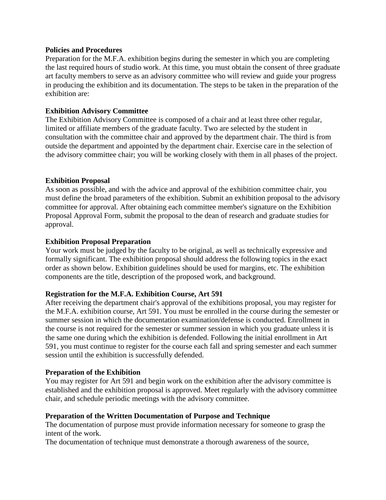## **Policies and Procedures**

Preparation for the M.F.A. exhibition begins during the semester in which you are completing the last required hours of studio work. At this time, you must obtain the consent of three graduate art faculty members to serve as an advisory committee who will review and guide your progress in producing the exhibition and its documentation. The steps to be taken in the preparation of the exhibition are:

## **Exhibition Advisory Committee**

The Exhibition Advisory Committee is composed of a chair and at least three other regular, limited or affiliate members of the graduate faculty. Two are selected by the student in consultation with the committee chair and approved by the department chair. The third is from outside the department and appointed by the department chair. Exercise care in the selection of the advisory committee chair; you will be working closely with them in all phases of the project.

## **Exhibition Proposal**

As soon as possible, and with the advice and approval of the exhibition committee chair, you must define the broad parameters of the exhibition. Submit an exhibition proposal to the advisory committee for approval. After obtaining each committee member's signature on the Exhibition Proposal Approval Form, submit the proposal to the dean of research and graduate studies for approval.

# **Exhibition Proposal Preparation**

Your work must be judged by the faculty to be original, as well as technically expressive and formally significant. The exhibition proposal should address the following topics in the exact order as shown below. Exhibition guidelines should be used for margins, etc. The exhibition components are the title, description of the proposed work, and background.

## **Registration for the M.F.A. Exhibition Course, Art 591**

After receiving the department chair's approval of the exhibitions proposal, you may register for the M.F.A. exhibition course, Art 591. You must be enrolled in the course during the semester or summer session in which the documentation examination/defense is conducted. Enrollment in the course is not required for the semester or summer session in which you graduate unless it is the same one during which the exhibition is defended. Following the initial enrollment in Art 591, you must continue to register for the course each fall and spring semester and each summer session until the exhibition is successfully defended.

## **Preparation of the Exhibition**

You may register for Art 591 and begin work on the exhibition after the advisory committee is established and the exhibition proposal is approved. Meet regularly with the advisory committee chair, and schedule periodic meetings with the advisory committee.

## **Preparation of the Written Documentation of Purpose and Technique**

The documentation of purpose must provide information necessary for someone to grasp the intent of the work.

The documentation of technique must demonstrate a thorough awareness of the source,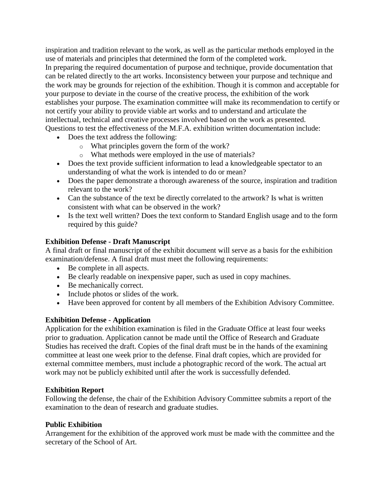inspiration and tradition relevant to the work, as well as the particular methods employed in the use of materials and principles that determined the form of the completed work. In preparing the required documentation of purpose and technique, provide documentation that can be related directly to the art works. Inconsistency between your purpose and technique and the work may be grounds for rejection of the exhibition. Though it is common and acceptable for your purpose to deviate in the course of the creative process, the exhibition of the work establishes your purpose. The examination committee will make its recommendation to certify or not certify your ability to provide viable art works and to understand and articulate the intellectual, technical and creative processes involved based on the work as presented. Questions to test the effectiveness of the M.F.A. exhibition written documentation include:

- Does the text address the following:
	- o What principles govern the form of the work?
	- o What methods were employed in the use of materials?
- Does the text provide sufficient information to lead a knowledgeable spectator to an understanding of what the work is intended to do or mean?
- Does the paper demonstrate a thorough awareness of the source, inspiration and tradition relevant to the work?
- Can the substance of the text be directly correlated to the artwork? Is what is written consistent with what can be observed in the work?
- Is the text well written? Does the text conform to Standard English usage and to the form required by this guide?

# **Exhibition Defense - Draft Manuscript**

A final draft or final manuscript of the exhibit document will serve as a basis for the exhibition examination/defense. A final draft must meet the following requirements:

- Be complete in all aspects.
- Be clearly readable on inexpensive paper, such as used in copy machines.
- Be mechanically correct.
- Include photos or slides of the work.
- Have been approved for content by all members of the Exhibition Advisory Committee.

# **Exhibition Defense - Application**

Application for the exhibition examination is filed in the Graduate Office at least four weeks prior to graduation. Application cannot be made until the Office of Research and Graduate Studies has received the draft. Copies of the final draft must be in the hands of the examining committee at least one week prior to the defense. Final draft copies, which are provided for external committee members, must include a photographic record of the work. The actual art work may not be publicly exhibited until after the work is successfully defended.

## **Exhibition Report**

Following the defense, the chair of the Exhibition Advisory Committee submits a report of the examination to the dean of research and graduate studies.

## **Public Exhibition**

Arrangement for the exhibition of the approved work must be made with the committee and the secretary of the School of Art.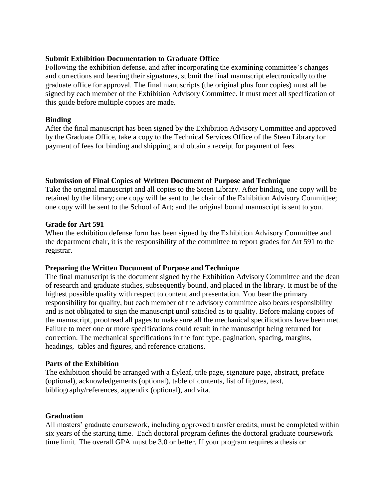## **Submit Exhibition Documentation to Graduate Office**

Following the exhibition defense, and after incorporating the examining committee's changes and corrections and bearing their signatures, submit the final manuscript electronically to the graduate office for approval. The final manuscripts (the original plus four copies) must all be signed by each member of the Exhibition Advisory Committee. It must meet all specification of this guide before multiple copies are made.

# **Binding**

After the final manuscript has been signed by the Exhibition Advisory Committee and approved by the Graduate Office, take a copy to the Technical Services Office of the Steen Library for payment of fees for binding and shipping, and obtain a receipt for payment of fees.

# **Submission of Final Copies of Written Document of Purpose and Technique**

Take the original manuscript and all copies to the Steen Library. After binding, one copy will be retained by the library; one copy will be sent to the chair of the Exhibition Advisory Committee; one copy will be sent to the School of Art; and the original bound manuscript is sent to you.

## **Grade for Art 591**

When the exhibition defense form has been signed by the Exhibition Advisory Committee and the department chair, it is the responsibility of the committee to report grades for Art 591 to the registrar.

## **Preparing the Written Document of Purpose and Technique**

The final manuscript is the document signed by the Exhibition Advisory Committee and the dean of research and graduate studies, subsequently bound, and placed in the library. It must be of the highest possible quality with respect to content and presentation. You bear the primary responsibility for quality, but each member of the advisory committee also bears responsibility and is not obligated to sign the manuscript until satisfied as to quality. Before making copies of the manuscript, proofread all pages to make sure all the mechanical specifications have been met. Failure to meet one or more specifications could result in the manuscript being returned for correction. The mechanical specifications in the font type, pagination, spacing, margins, headings, tables and figures, and reference citations.

## **Parts of the Exhibition**

The exhibition should be arranged with a flyleaf, title page, signature page, abstract, preface (optional), acknowledgements (optional), table of contents, list of figures, text, bibliography/references, appendix (optional), and vita.

## **Graduation**

All masters' graduate coursework, including approved transfer credits, must be completed within six years of the starting time. Each doctoral program defines the doctoral graduate coursework time limit. The overall GPA must be 3.0 or better. If your program requires a thesis or